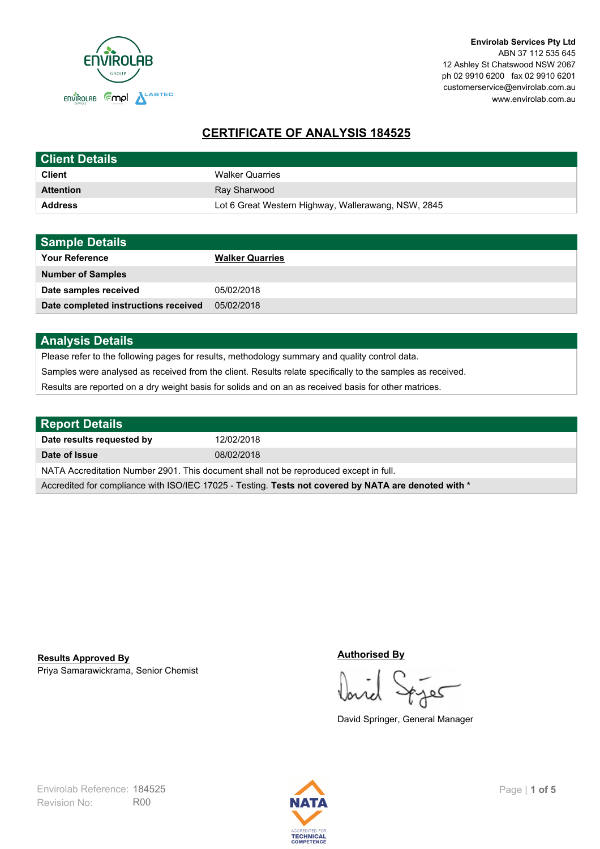

# **CERTIFICATE OF ANALYSIS 184525**

| <b>Client Details</b> |                                                     |
|-----------------------|-----------------------------------------------------|
| <b>Client</b>         | <b>Walker Quarries</b>                              |
| <b>Attention</b>      | Ray Sharwood                                        |
| <b>Address</b>        | Lot 6 Great Western Highway, Wallerawang, NSW, 2845 |

| <b>Sample Details</b>                |                        |
|--------------------------------------|------------------------|
| <b>Your Reference</b>                | <b>Walker Quarries</b> |
| <b>Number of Samples</b>             |                        |
| Date samples received                | 05/02/2018             |
| Date completed instructions received | 05/02/2018             |

# **Analysis Details**

Please refer to the following pages for results, methodology summary and quality control data.

Samples were analysed as received from the client. Results relate specifically to the samples as received.

Results are reported on a dry weight basis for solids and on an as received basis for other matrices.

| <b>Report Details</b>                                                                                |            |  |
|------------------------------------------------------------------------------------------------------|------------|--|
| Date results requested by                                                                            | 12/02/2018 |  |
| Date of Issue                                                                                        | 08/02/2018 |  |
| NATA Accreditation Number 2901. This document shall not be reproduced except in full.                |            |  |
| Accredited for compliance with ISO/IEC 17025 - Testing. Tests not covered by NATA are denoted with * |            |  |

Priya Samarawickrama, Senior Chemist **Results Approved By**

#### **Authorised By**

کھ

David Springer, General Manager

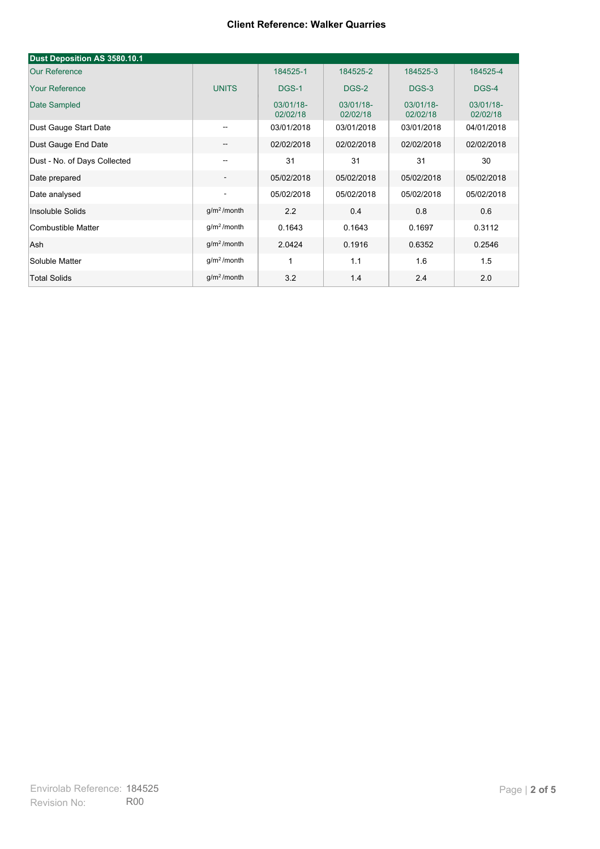## **Client Reference: Walker Quarries**

| Dust Deposition AS 3580.10.1 |                          |                       |                       |                       |                       |
|------------------------------|--------------------------|-----------------------|-----------------------|-----------------------|-----------------------|
| <b>Our Reference</b>         |                          | 184525-1              | 184525-2              | 184525-3              | 184525-4              |
| <b>Your Reference</b>        | <b>UNITS</b>             | DGS-1                 | DGS-2                 | DGS-3                 | DGS-4                 |
| Date Sampled                 |                          | 03/01/18-<br>02/02/18 | 03/01/18-<br>02/02/18 | 03/01/18-<br>02/02/18 | 03/01/18-<br>02/02/18 |
| Dust Gauge Start Date        | $\overline{\phantom{a}}$ | 03/01/2018            | 03/01/2018            | 03/01/2018            | 04/01/2018            |
| Dust Gauge End Date          | $\overline{\phantom{a}}$ | 02/02/2018            | 02/02/2018            | 02/02/2018            | 02/02/2018            |
| Dust - No. of Days Collected | --                       | 31                    | 31                    | 31                    | 30                    |
| Date prepared                | $\overline{\phantom{a}}$ | 05/02/2018            | 05/02/2018            | 05/02/2018            | 05/02/2018            |
| Date analysed                | $\overline{a}$           | 05/02/2018            | 05/02/2018            | 05/02/2018            | 05/02/2018            |
| Insoluble Solids             | $g/m2$ /month            | 2.2                   | 0.4                   | 0.8                   | 0.6                   |
| Combustible Matter           | $g/m2$ /month            | 0.1643                | 0.1643                | 0.1697                | 0.3112                |
| Ash                          | g/m <sup>2</sup> /month  | 2.0424                | 0.1916                | 0.6352                | 0.2546                |
| Soluble Matter               | $g/m2$ /month            | 1                     | 1.1                   | 1.6                   | 1.5                   |
| <b>Total Solids</b>          | $q/m2$ /month            | 3.2                   | 1.4                   | 2.4                   | 2.0                   |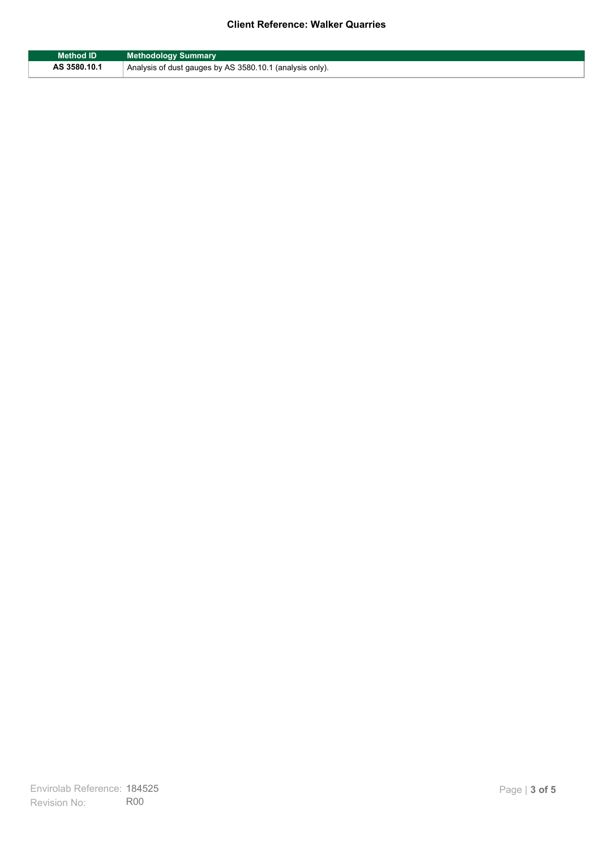## **Client Reference: Walker Quarries**

| Method ID    | <b>Methodology Summary</b>                               |
|--------------|----------------------------------------------------------|
| AS 3580.10.1 | Analysis of dust gauges by AS 3580.10.1 (analysis only). |

F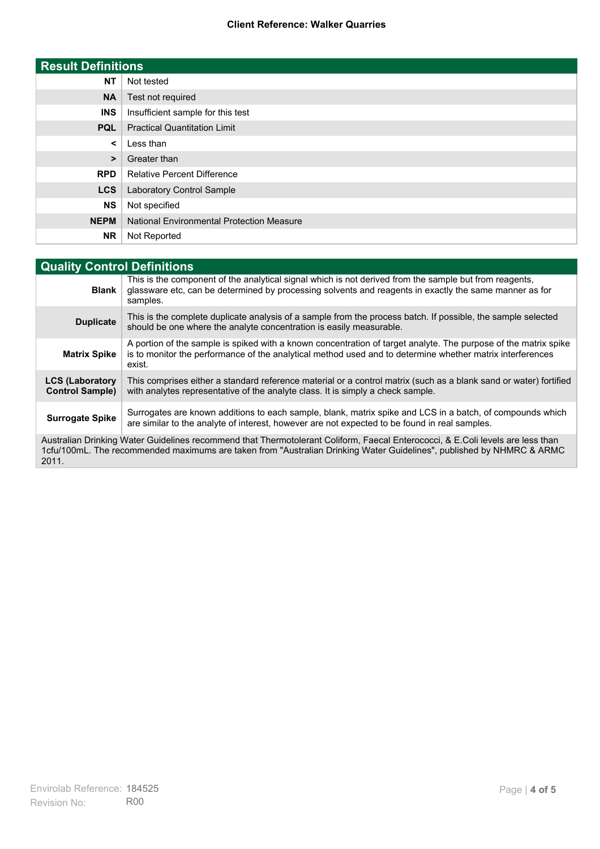#### **Client Reference: Walker Quarries**

| <b>Result Definitions</b> |                                                  |
|---------------------------|--------------------------------------------------|
| <b>NT</b>                 | Not tested                                       |
| <b>NA</b>                 | Test not required                                |
| <b>INS</b>                | Insufficient sample for this test                |
| <b>PQL</b>                | <b>Practical Quantitation Limit</b>              |
| $\prec$                   | Less than                                        |
| $\geq$                    | Greater than                                     |
| <b>RPD</b>                | <b>Relative Percent Difference</b>               |
| <b>LCS</b>                | Laboratory Control Sample                        |
| <b>NS</b>                 | Not specified                                    |
| <b>NEPM</b>               | <b>National Environmental Protection Measure</b> |
| <b>NR</b>                 | Not Reported                                     |

| <b>Quality Control Definitions</b>                                                                                                                                                                                                                      |                                                                                                                                                                                                                                        |
|---------------------------------------------------------------------------------------------------------------------------------------------------------------------------------------------------------------------------------------------------------|----------------------------------------------------------------------------------------------------------------------------------------------------------------------------------------------------------------------------------------|
| <b>Blank</b>                                                                                                                                                                                                                                            | This is the component of the analytical signal which is not derived from the sample but from reagents,<br>glassware etc, can be determined by processing solvents and reagents in exactly the same manner as for<br>samples.           |
| <b>Duplicate</b>                                                                                                                                                                                                                                        | This is the complete duplicate analysis of a sample from the process batch. If possible, the sample selected<br>should be one where the analyte concentration is easily measurable.                                                    |
| <b>Matrix Spike</b>                                                                                                                                                                                                                                     | A portion of the sample is spiked with a known concentration of target analyte. The purpose of the matrix spike<br>is to monitor the performance of the analytical method used and to determine whether matrix interferences<br>exist. |
| <b>LCS (Laboratory</b><br><b>Control Sample)</b>                                                                                                                                                                                                        | This comprises either a standard reference material or a control matrix (such as a blank sand or water) fortified<br>with analytes representative of the analyte class. It is simply a check sample.                                   |
| <b>Surrogate Spike</b>                                                                                                                                                                                                                                  | Surrogates are known additions to each sample, blank, matrix spike and LCS in a batch, of compounds which<br>are similar to the analyte of interest, however are not expected to be found in real samples.                             |
| Australian Drinking Water Guidelines recommend that Thermotolerant Coliform, Faecal Enterococci, & E.Coli levels are less than<br>1cfu/100mL. The recommended maximums are taken from "Australian Drinking Water Guidelines", published by NHMRC & ARMC |                                                                                                                                                                                                                                        |

2011.